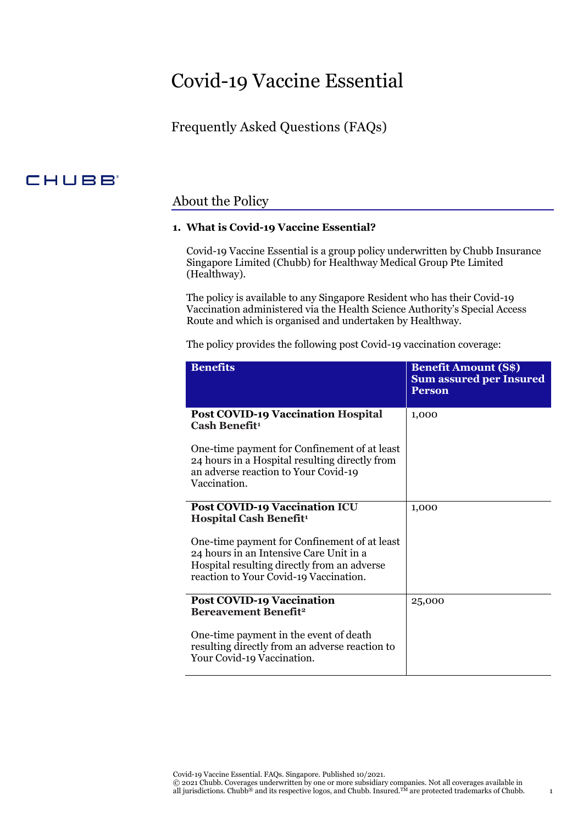# Covid-19 Vaccine Essential

## Frequently Asked Questions (FAQs)

## CHUBB

### About the Policy

#### **1. What is Covid-19 Vaccine Essential?**

Covid-19 Vaccine Essential is a group policy underwritten by Chubb Insurance Singapore Limited (Chubb) for Healthway Medical Group Pte Limited (Healthway).

The policy is available to any Singapore Resident who has their Covid-19 Vaccination administered via the Health Science Authority's Special Access Route and which is organised and undertaken by Healthway.

The policy provides the following post Covid-19 vaccination coverage:

| <b>Benefits</b>                                                                                                                                                                  | <b>Benefit Amount (S\$)</b><br><b>Sum assured per Insured</b><br><b>Person</b> |
|----------------------------------------------------------------------------------------------------------------------------------------------------------------------------------|--------------------------------------------------------------------------------|
| <b>Post COVID-19 Vaccination Hospital</b><br>Cash Benefit <sup>1</sup>                                                                                                           | 1,000                                                                          |
| One-time payment for Confinement of at least<br>24 hours in a Hospital resulting directly from<br>an adverse reaction to Your Covid-19<br>Vaccination.                           |                                                                                |
| <b>Post COVID-19 Vaccination ICU</b><br><b>Hospital Cash Benefit<sup>1</sup></b>                                                                                                 | 1,000                                                                          |
| One-time payment for Confinement of at least<br>24 hours in an Intensive Care Unit in a<br>Hospital resulting directly from an adverse<br>reaction to Your Covid-19 Vaccination. |                                                                                |
| <b>Post COVID-19 Vaccination</b><br><b>Bereavement Benefit<sup>2</sup></b>                                                                                                       | 25,000                                                                         |
| One-time payment in the event of death<br>resulting directly from an adverse reaction to<br>Your Covid-19 Vaccination.                                                           |                                                                                |

Covid-19 Vaccine Essential. FAQs. Singapore. Published 10/2021.

© 2021 Chubb. Coverages underwritten by one or more subsidiary companies. Not all coverages available in all jurisdictions. Chubb<sup>®</sup> and its respective logos, and Chubb. Insured.<sup>TM</sup> are protected trademarks of Chubb.  $1$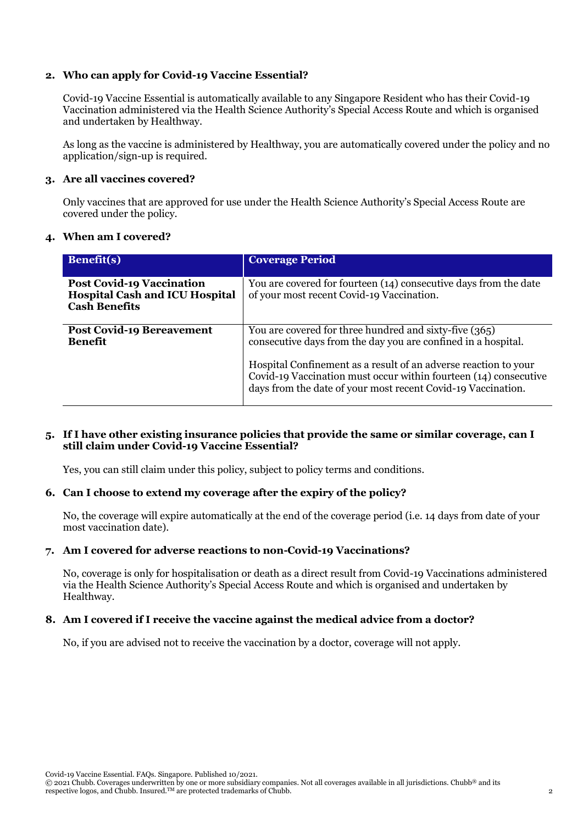#### **2. Who can apply for Covid-19 Vaccine Essential?**

Covid-19 Vaccine Essential is automatically available to any Singapore Resident who has their Covid-19 Vaccination administered via the Health Science Authority's Special Access Route and which is organised and undertaken by Healthway.

As long as the vaccine is administered by Healthway, you are automatically covered under the policy and no application/sign-up is required.

#### **3. Are all vaccines covered?**

Only vaccines that are approved for use under the Health Science Authority's Special Access Route are covered under the policy.

#### **4. When am I covered?**

| <b>Benefit(s)</b>                                                                                 | <b>Coverage Period</b>                                                                                                                                                                                                                                                                                                         |
|---------------------------------------------------------------------------------------------------|--------------------------------------------------------------------------------------------------------------------------------------------------------------------------------------------------------------------------------------------------------------------------------------------------------------------------------|
| <b>Post Covid-19 Vaccination</b><br><b>Hospital Cash and ICU Hospital</b><br><b>Cash Benefits</b> | You are covered for fourteen (14) consecutive days from the date<br>of your most recent Covid-19 Vaccination.                                                                                                                                                                                                                  |
| <b>Post Covid-19 Bereavement</b><br><b>Benefit</b>                                                | You are covered for three hundred and sixty-five (365)<br>consecutive days from the day you are confined in a hospital.<br>Hospital Confinement as a result of an adverse reaction to your<br>Covid-19 Vaccination must occur within fourteen (14) consecutive<br>days from the date of your most recent Covid-19 Vaccination. |

#### **5. If I have other existing insurance policies that provide the same or similar coverage, can I still claim under Covid-19 Vaccine Essential?**

Yes, you can still claim under this policy, subject to policy terms and conditions.

#### **6. Can I choose to extend my coverage after the expiry of the policy?**

No, the coverage will expire automatically at the end of the coverage period (i.e. 14 days from date of your most vaccination date).

#### **7. Am I covered for adverse reactions to non-Covid-19 Vaccinations?**

No, coverage is only for hospitalisation or death as a direct result from Covid-19 Vaccinations administered via the Health Science Authority's Special Access Route and which is organised and undertaken by Healthway.

#### **8. Am I covered if I receive the vaccine against the medical advice from a doctor?**

No, if you are advised not to receive the vaccination by a doctor, coverage will not apply.

Covid-19 Vaccine Essential. FAQs. Singapore. Published 10/2021.

```
© 2021 Chubb. Coverages underwritten by one or more subsidiary companies. Not all coverages available in all jurisdictions. Chubb® and its 
respective logos, and Chubb. Insured.<sup>TM</sup> are protected trademarks of Chubb. \sim 2
```